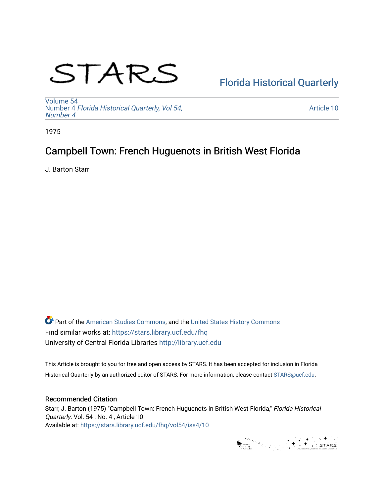# STARS

# [Florida Historical Quarterly](https://stars.library.ucf.edu/fhq)

[Volume 54](https://stars.library.ucf.edu/fhq/vol54) Number 4 [Florida Historical Quarterly, Vol 54,](https://stars.library.ucf.edu/fhq/vol54/iss4)  [Number 4](https://stars.library.ucf.edu/fhq/vol54/iss4)

[Article 10](https://stars.library.ucf.edu/fhq/vol54/iss4/10) 

1975

## Campbell Town: French Huguenots in British West Florida

J. Barton Starr

**C** Part of the [American Studies Commons](http://network.bepress.com/hgg/discipline/439?utm_source=stars.library.ucf.edu%2Ffhq%2Fvol54%2Fiss4%2F10&utm_medium=PDF&utm_campaign=PDFCoverPages), and the United States History Commons Find similar works at: <https://stars.library.ucf.edu/fhq> University of Central Florida Libraries [http://library.ucf.edu](http://library.ucf.edu/) 

This Article is brought to you for free and open access by STARS. It has been accepted for inclusion in Florida Historical Quarterly by an authorized editor of STARS. For more information, please contact [STARS@ucf.edu.](mailto:STARS@ucf.edu)

## Recommended Citation

Starr, J. Barton (1975) "Campbell Town: French Huguenots in British West Florida," Florida Historical Quarterly: Vol. 54 : No. 4 , Article 10. Available at: [https://stars.library.ucf.edu/fhq/vol54/iss4/10](https://stars.library.ucf.edu/fhq/vol54/iss4/10?utm_source=stars.library.ucf.edu%2Ffhq%2Fvol54%2Fiss4%2F10&utm_medium=PDF&utm_campaign=PDFCoverPages)

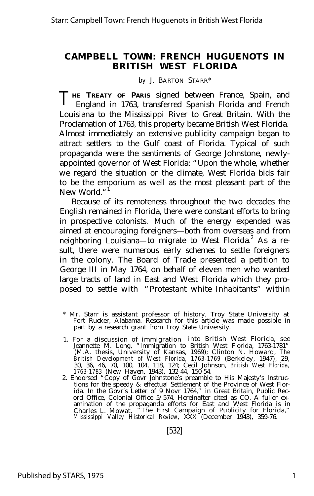### **CAMPBELL TOWN: FRENCH HUGUENOTS IN BRITISH WEST FLORIDA**

*by* J. BARTON STARR\*

THE TREATY OF PARIS signed between France, Spain, and England in 1763, transferred Spanish Florida and French England in 1763, transferred Spanish Florida and French Louisiana to the Mississippi River to Great Britain. With the Proclamation of 1763, this property became British West Florida. Almost immediately an extensive publicity campaign began to attract settlers to the Gulf coast of Florida. Typical of such propaganda were the sentiments of George Johnstone, newlyappointed governor of West Florida: "Upon the whole, whether we regard the situation or the climate, West Florida bids fair to be the emporium as well as the most pleasant part of the New World."<sup>1</sup>

Because of its remoteness throughout the two decades the English remained in Florida, there were constant efforts to bring in prospective colonists. Much of the energy expended was aimed at encouraging foreigners— both from overseas and from neighboring Louisiana- to migrate to West Florida.<sup>2</sup> As a result, there were numerous early schemes to settle foreigners in the colony. The Board of Trade presented a petition to George III in May 1764, on behalf of eleven men who wanted large tracts of land in East and West Florida which they proposed to settle with "Protestant white Inhabitants" within

<sup>\*</sup> Mr. Starr is assistant professor of history, Troy State University at Fort Rucker, Alabama. Research for this article was made possible in part by a research grant from Troy State University.

<sup>1.</sup> For a discussion of immigration into British West Florida, see Jeannette M. Long, "Immigration to British West Florida, 1763-1781" (M.A. thesis, University of Kansas, 1969); Clinton N. Howard, *The British Development of West Florida, 1763-1769* (Berkeley, 1947), 29, 30, 36, 46, 70, 100, 104, 118, 124; Cecil Johnson, *British West Florida, 1763-1783* (New Haven, 1943), 132-44, 150-54. 2. Endorsed "Copy of Govr Johnstone's preamble to His Majesty's Instruc-

tions for the speedy & effectual Settlement of the Province of West Florida. In the Govr's Letter of 9 Novr 1764," in Great Britain, Public Record Office, Colonial Office 5/574. Hereinafter cited as CO. A fuller ex-<br>amination of the propaganda efforts for East and West Florida is in<br>Charles L. Mowat, "The First Campaign of Publicity for Florida,"<br>*Mississippi Val*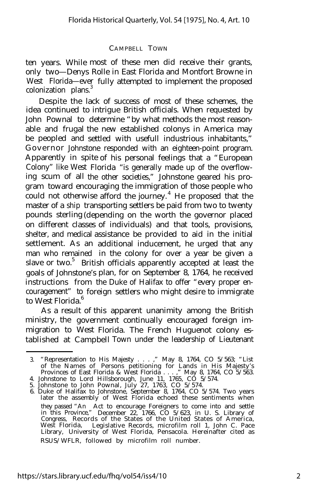ten years. While most of these men did receive their grants, only two— Denys Rolle in East Florida and Montfort Browne in West Florida— ever fully attempted to implement the proposed colonization plans.<sup>3</sup>

Despite the lack of success of most of these schemes, the idea continued to intrigue British officials. When requested by John Pownal to determine "by what methods the most reasonable and frugal the new established colonys in America may be peopled and settled with usefull industrious inhabitants," Governor Johnstone responded with an eighteen-point program. Apparently in spite of his personal feelings that a "European Colony" like West Florida "is generally made up of the overflowing scum of all the other societies," Johnstone geared his program toward encouraging the immigration of those people who could not otherwise afford the journey.<sup>4</sup> He proposed that the master of a ship transporting settlers be paid from two to twenty pounds sterling (depending on the worth the governor placed on different classes of individuals) and that tools, provisions, shelter, and medical assistance be provided to aid in the initial settlement. As an additional inducement, he urged that any man who remained in the colony for over a year be given a slave or two.<sup>5</sup> British officials apparently accepted at least the goals of Johnstone's plan, for on September 8, 1764, he received instructions from the Duke of Halifax to offer "every proper encouragement" to foreign settlers who might desire to immigrate to West Florida. $6$ 

As a result of this apparent unanimity among the British ministry, the government continually encouraged foreign immigration to West Florida. The French Huguenot colony established at Campbell Town under the leadership of Lieutenant

<sup>3.</sup> "Representation to His Majesty . . . ," May 8, 1764, CO 5/563; "List of the Names of Persons petitioning for Lands in His Majesty's Provinces of East Florida & West Florida . . . ," May 8, 1764, CO 5/563.

<sup>4.</sup> Johnstone to Lord Hillsborough, June 11, 1765, CO 5/574.

<sup>5.</sup> Johnstone to John Pownal, July 27, 1763, CO 5/574. 6. Duke of Halifax to Johnstone, September 8, 1764, CO 5/574. Two years later the assembly of West Florida echoed these sentiments when they passed "An Act to encourage Foreigners to come into and settle<br>in this Province," December 22, 1766, CO 5/623, in U. S. Library of in this Province," December 22, 1766, CO 5/623, in U. S. Library of<br>Congress, Records of the States of the United States of America, West Florida, Legislative Records, microfilm roll 1, John C. Pace Library, University of West Florida, Pensacola. Hereinafter cited as RSUS/WFLR, followed by microfilm roll number.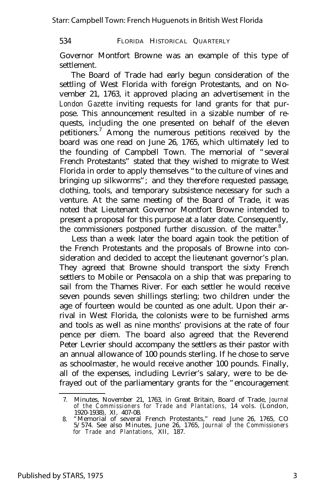Governor Montfort Browne was an example of this type of settlement.

The Board of Trade had early begun consideration of the settling of West Florida with foreign Protestants, and on November 21, 1763, it approved placing an advertisement in the *London Gazette* inviting requests for land grants for that purpose. This announcement resulted in a sizable number of requests, including the one presented on behalf of the eleven petitioners.<sup>7</sup> Among the numerous petitions received by the board was one read on June 26, 1765, which ultimately led to the founding of Campbell Town. The memorial of "several French Protestants" stated that they wished to migrate to West Florida in order to apply themselves "to the culture of vines and bringing up silkworms"; and they therefore requested passage, clothing, tools, and temporary subsistence necessary for such a venture. At the same meeting of the Board of Trade, it was noted that Lieutenant Governor Montfort Browne intended to present a proposal for this purpose at a later date. Consequently, the commissioners postponed further discussion. of the matter.<sup>8</sup>

Less than a week later the board again took the petition of the French Protestants and the proposals of Browne into consideration and decided to accept the lieutenant governor's plan. They agreed that Browne should transport the sixty French settlers to Mobile or Pensacola on a ship that was preparing to sail from the Thames River. For each settler he would receive seven pounds seven shillings sterling; two children under the age of fourteen would be counted as one adult. Upon their arrival in West Florida, the colonists were to be furnished arms and tools as well as nine months' provisions at the rate of four pence per diem. The board also agreed that the Reverend Peter Levrier should accompany the settlers as their pastor with an annual allowance of 100 pounds sterling. If he chose to serve as schoolmaster, he would receive another 100 pounds. Finally, all of the expenses, including Levrier's salary, were to be defrayed out of the parliamentary grants for the "encouragement

<sup>7.</sup> Minutes, November 21, 1763, in Great Britain, Board of Trade, *Journal of the Commissioners for Trade and Plantations,* 14 vols. (London, 1920-1938), XI, 407-08. 8. "Memorial of several French Protestants," read June 26, 1765, CO

<sup>5/574.</sup> See also Minutes, June 26, 1765, *Journal of the Commissioners for Trade and Plantations,* XII, 187.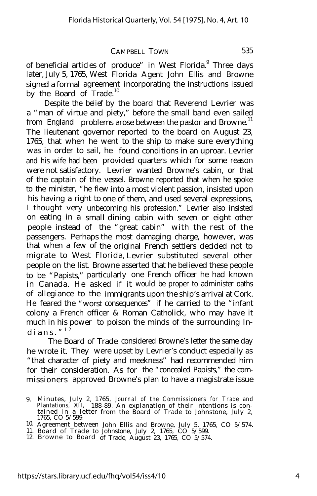of beneficial articles of produce" in West Florida.<sup>9</sup> Three days later, July 5, 1765, West Florida Agent John Ellis and Browne signed a formal agreement incorporating the instructions issued by the Board of Trade.<sup>10</sup>

Despite the belief by the board that Reverend Levrier was a "man of virtue and piety," before the small band even sailed from England problems arose between the pastor and Browne.<sup>11</sup> The lieutenant governor reported to the board on August 23, 1765, that when he went to the ship to make sure everything was in order to sail, he found conditions in an uproar. Levrier and his wife had been provided quarters which for some reason were not satisfactory. Levrier wanted Browne's cabin, or that of the captain of the vessel. Browne reported that when he spoke to the minister, "he flew into a most violent passion, insisted upon his having a right to one of them, and used several expressions, I thought very unbecoming his profession." Levrier also insisted on eating in a small dining cabin with seven or eight other people instead of the "great cabin" with the rest of the passengers. Perhaps the most damaging charge, however, was that when a few of the original French settlers decided not to migrate to West Florida, Levrier substituted several other people on the list. Browne asserted that he believed these people to be "Papists," particularly one French officer he had known in Canada. He asked if it would be proper to administer oaths of allegiance to the immigrants upon the ship's arrival at Cork. He feared the "worst consequences" if he carried to the "infant colony a French officer & Roman Catholick, who may have it much in his power to poison the minds of the surrounding In $d$ ians." $^{\rm 12}$ 

The Board of Trade considered Browne's letter the same day he wrote it. They were upset by Levrier's conduct especially as "that character of piety and meekness" had recommended him for their consideration. As for the "concealed Papists," the commissioners approved Browne's plan to have a magistrate issue

<sup>9.</sup> Minutes, July 2, 1765, *Journal of the Commissioners for Trade and Plantations,* XII, 188-89. An explanation of their intentions is contained in a letter from the Board of Trade to Johnstone, July 2, 1765, CO 5/599.

<sup>10.</sup> Agreement between John Ellis and Browne, July 5, 1765, CO 5/574.

<sup>11.</sup> Board of Trade to Johnstone, July 2, 1765, CO 5/599. 12. Browne to Board of Trade, August 23, 1765, CO 5/574.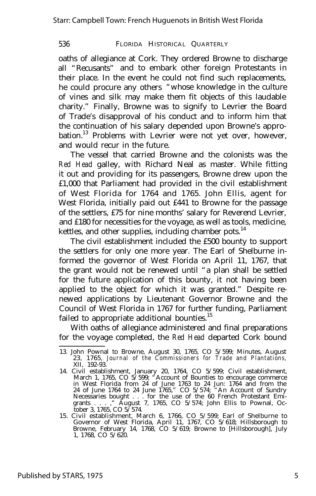oaths of allegiance at Cork. They ordered Browne to discharge all "Recusants" and to embark other foreign Protestants in their place. In the event he could not find such replacements, he could procure any others "whose knowledge in the culture of vines and silk may make them fit objects of this laudable charity." Finally, Browne was to signify to Levrier the Board of Trade's disapproval of his conduct and to inform him that the continuation of his salary depended upon Browne's approbation.<sup>13</sup> Problems with Levrier were not yet over, however, and would recur in the future.

The vessel that carried Browne and the colonists was the *Red Head* galley, with Richard Neal as master. While fitting it out and providing for its passengers, Browne drew upon the £1,000 that Parliament had provided in the civil establishment of West Florida for 1764 and 1765. John Ellis, agent for West Florida, initially paid out £441 to Browne for the passage of the settlers, £75 for nine months' salary for Reverend Levrier, and £180 for necessities for the voyage, as well as tools, medicine, kettles, and other supplies, including chamber pots. $^{14}$ 

The civil establishment included the £500 bounty to support the settlers for only one more year. The Earl of Shelburne informed the governor of West Florida on April 11, 1767, that the grant would not be renewed until "a plan shall be settled for the future application of this bounty, it not having been applied to the object for which it was granted." Despite renewed applications by Lieutenant Governor Browne and the Council of West Florida in 1767 for further funding, Parliament failed to appropriate additional bounties.<sup>15</sup>

With oaths of allegiance administered and final preparations for the voyage completed, the *Red Head* departed Cork bound

<sup>13.</sup> John Pownal to Browne, August 30, 1765, CO 5/599; Minutes, August 23, 1765, *Journal of the Commissioners for Trade and Plantations,* XII, 192-93.

<sup>14.</sup> Civil establishment, January 20, 1764, CO 5/599; Civil establishment, March 1, 1765, CO 5/599; "Account of Bounties to encourage commerce in West Florida from 24 of June 1763 to 24 Jun: 1764 and from the<br>24 of June 1764 to 24 June 1765," CO 5/574; "An Account of Sundry<br>Necessaries bought . . . for the use of the 0 French Protestant Emi-<br>grants . . . ," Augus tober 3, 1765, CO 5/574.

<sup>15.</sup> Civil establishment, March 6, 1766, CO 5/599; Earl of Shelburne to Governor of West Florida, April 11, 1767, CO 5/618; Hillsborough to Browne, February 14, 1768, CO 5/619; Browne to [Hillsborough], July 1, 1768, CO 5/620.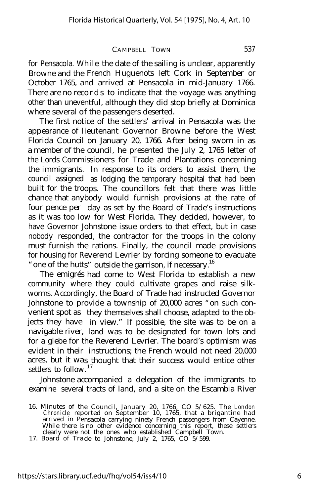for Pensacola. W hile the date of the sailing is unclear, apparently Browne and the French Huguenots left Cork in September or October 1765, a nd arrived at Pensacola in mid-January 1766. There are no rec ord s to indicate that the voyage was anything other than uneve ntful, although they did stop briefly at Dominica where several o f the passengers deserted.

The first not ice of the settlers' arrival in Pensacola was the appearance of l ieutenant Governor Browne before the West Florida Council on January 20, 1766. After being sworn in as a member of the council, he presented the July 2, 1765 letter of the Lords Comm issioners for Trade and Plantations concerning the immigrants. In response to its orders to assist them, the council assigned as lodging the temporary hospital that had been built for the tro ops. The councillors felt that there was little chance that any body would furnish provisions at the rate of four pence per day as set by the Board of Trade's instructions as it was too lo w for West Florida. They decided, however, to have Governor J ohnstone issue orders to that effect, but in case nobody respond ed, the contractor for the troops in the colony must furnish th e rations. Finally, the council made provisions for housing for R everend Levrier by forcing someone to evacuate " one of the hutts" outside the garrison, if necessary.<sup>16</sup>

The emigrés had come to West Florida to establish a new community whe re they could cultivate grapes and raise silkworms. Accordin gly, the Board of Trade had instructed Governor Johnstone to pr ovide a township of 20,000 acres "on such convenient spot as they themselves shall choose, adapted to the objects they have in view." If possible, the site was to be on a navigable river, land was to be designated for town lots and for a glebe for t he Reverend Levrier. The board's optimism was evident in their instructions; the French would not need 20,000 acres, but it wa s thought that their success would entice other settlers to follow.<sup>17</sup>

Johnstone ac companied a delegation of the immigrants to examine several tracts of land, and a site on the Escambia River

<sup>16.</sup> Minutes of th *Chronicle* rep arrived in Pe While there is clearly were n 17. Board of Tra e Council, January 20, 1766, CO 5/625. The *London* orted on September 10, 1765, that a brigantine had nsacola carrying ninety French passengers from Cayenne. no other evidence concerning this report, these settlers ot the ones who established Campbell Town.

de to Johnstone, July 2, 1765, CO 5/599.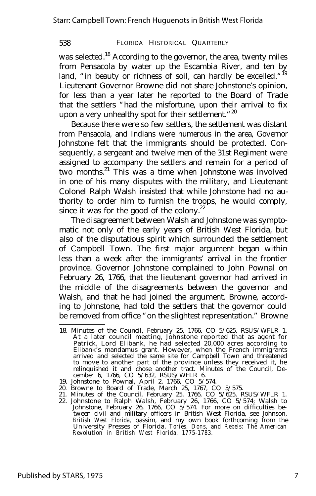was selected.<sup>18</sup> According to the governor, the area, twenty miles from Pensacola by water up the Escambia River, and ten by land, "in beauty or richness of soil, can hardly be excelled."<sup>19</sup> Lieutenant Governor Browne did not share Johnstone's opinion, for less than a year later he reported to the Board of Trade that the settlers "had the misfortune, upon their arrival to fix upon a very unhealthy spot for their settlement."<sup>20</sup>

Because there were so few settlers, the settlement was distant from Pensacola, and Indians were numerous in the area, Governor Johnstone felt that the immigrants should be protected. Consequently, a sergeant and twelve men of the 31st Regiment were assigned to accompany the settlers and remain for a period of two months.<sup>21</sup> This was a time when Johnstone was involved in one of his many disputes with the military, and Lieutenant Colonel Ralph Walsh insisted that while Johnstone had no authority to order him to furnish the troops, he would comply, since it was for the good of the colony.<sup>22</sup>

The disagreement between Walsh and Johnstone was symptomatic not only of the early years of British West Florida, but also of the disputatious spirit which surrounded the settlement of Campbell Town. The first major argument began within less than a week after the immigrants' arrival in the frontier province. Governor Johnstone complained to John Pownal on February 26, 1766, that the lieutenant governor had arrived in the middle of the disagreements between the governor and Walsh, and that he had joined the argument. Browne, according to Johnstone, had told the settlers that the governor could be removed from office "on the slightest representation." Browne

<sup>18.</sup> Minutes of the Council, February 25, 1766, CO 5/625, RSUS/WFLR 1. At a later council meeting, Johnstone reported that as agent for Patrick, Lord Elibank, he had selected 20,000 acres according to Elibank's mandamus grant. However, when the French immigrants arrived and selected the same site for Campbell Town and threatened to move to another part of the province unless they received it, he relinquished it and chose another tract. Minutes of the Council, De-

cember 6, 1766, CO 5/632, RSUS/WFLR 6. 19. Johnstone to Pownal, April 2, 1766, CO 5/574.

<sup>20.</sup> Browne to Board of Trade, March 25, 1767, CO 5/575. 21. Minutes of the Council, February 25, 1766, CO 5/625, RSUS/WFLR 1.

<sup>22.</sup> Johnstone to Ralph Walsh, February 26, 1766, CO 5/574; Walsh to Johnstone, February 26, 1766, CO 5/574. For more on difficulties between civil and military officers in British West Florida, see Johnson, *British West Florida,* passim, and my own book forthcoming from the University Presses of Florida, *Tories, Dons, and Rebels: The American Revolution in British West Florida, 1775-1783.*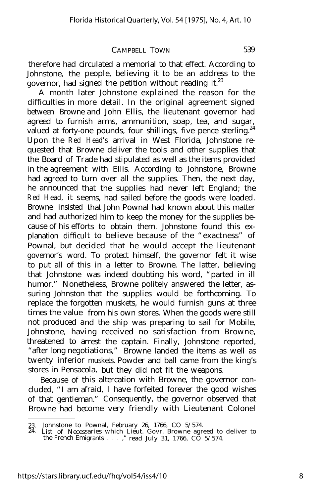therefore had ci rculated a memorial to that effect. According to Johnstone, the people, believing it to be an address to the governor, had signed the petition without reading it.<sup>23</sup>

A month la ter Johnstone explained the reason for the difficulties in m ore detail. In the original agreement signed between Browne and John Ellis, the lieutenant governor had agreed to furni sh arms, ammunition, soap, tea, and sugar, valued at forty-one pounds, four shillings, five pence sterling.<sup>24</sup> Upon the *Red Head's* arrival in West Florida, Johnstone requested that Br owne deliver the tools and other supplies that the Board of Tr ade had stipulated as well as the items provided in the agreemen t with Ellis. According to Johnstone, Browne had agreed to t urn over all the supplies. Then, the next day, he announced t hat the supplies had never left England; the *Red Head,* it se ems, had sailed before the goods were loaded. Browne insisted that John Pownal had known about this matter and had authori zed him to keep the money for the supplies because of his effo rts to obtain them. Johnstone found this explanation difficu lt to believe because of the "exactness" of Pownal, but de cided that he would accept the lieutenant governor's word . To protect himself, the governor felt it wise to put all of th is in a letter to Browne. The latter, believing that Johnstone was indeed doubting his word, "parted in ill humor." Nonet heless, Browne politely answered the letter, assuring Johnston that the supplies would be forthcoming. To replace the forg otten muskets, he would furnish guns at three times the value from his own stores. When the goods were still not produced a nd the ship was preparing to sail for Mobile, Johnstone, hav ing received no satisfaction from Browne, threatened to a rrest the captain. Finally, Johnstone reported, "after long nego tiations," Browne landed the items as well as twenty inferior muskets. Powder and ball came from the king's stores in Pensac ola, but they did not fit the weapons.

Because of t his altercation with Browne, the governor concluded, "I am a fraid, I have forfeited forever the good wishes of that gentlem an." Consequently, the governor observed that Browne had be come very friendly with Lieutenant Colonel

Pownal, February 26, 1766, CO 5/574.

<sup>23.</sup> Johnstone to 24. List of Neces the French Em saries which Lieut. Govr. Browne agreed to deliver to igrants . . . ," read July 31, 1766, CO 5/574.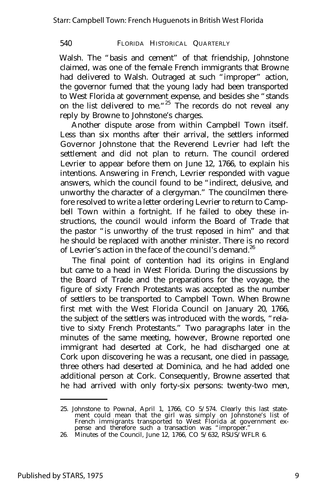Walsh. The "basis and cement" of that friendship, Johnstone claimed, was one of the female French immigrants that Browne had delivered to Walsh. Outraged at such "improper" action, the governor fumed that the young lady had been transported to West Florida at government expense, and besides she "stands on the list delivered to me."<sup>25</sup> The records do not reveal any reply by Browne to Johnstone's charges.

Another dispute arose from within Campbell Town itself. Less than six months after their arrival, the settlers informed Governor Johnstone that the Reverend Levrier had left the settlement and did not plan to return. The council ordered Levrier to appear before them on June 12, 1766, to explain his intentions. Answering in French, Levrier responded with vague answers, which the council found to be "indirect, delusive, and unworthy the character of a clergyman." The councilmen therefore resolved to write a letter ordering Levrier to return to Campbell Town within a fortnight. If he failed to obey these instructions, the council would inform the Board of Trade that the pastor "is unworthy of the trust reposed in him" and that he should be replaced with another minister. There is no record of Levrier's action in the face of the council's demand.<sup>26</sup>

The final point of contention had its origins in England but came to a head in West Florida. During the discussions by the Board of Trade and the preparations for the voyage, the figure of sixty French Protestants was accepted as the number of settlers to be transported to Campbell Town. When Browne first met with the West Florida Council on January 20, 1766, the subject of the settlers was introduced with the words, "relative to sixty French Protestants." Two paragraphs later in the minutes of the same meeting, however, Browne reported one immigrant had deserted at Cork, he had discharged one at Cork upon discovering he was a recusant, one died in passage, three others had deserted at Dominica, and he had added one additional person at Cork. Consequently, Browne asserted that he had arrived with only forty-six persons: twenty-two men,

<sup>25.</sup> Johnstone to Pownal, April 1, 1766, CO 5/574. Clearly this last statement could mean that the girl was simply on Johnstone's list of French immigrants transported to West Florida at government expense and therefore suc

<sup>26.</sup> Minutes of the Council, June 12, 1766, CO 5/632, RSUS/WFLR 6.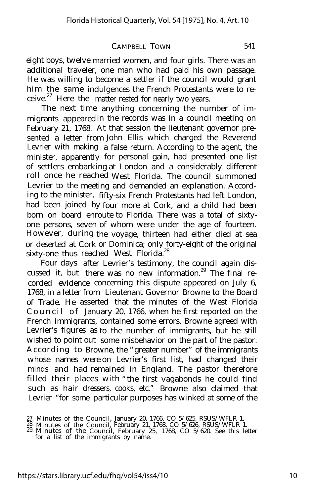eight boys, twelve married women, and four girls. There was an additional traveler, one man who had paid his own passage. He was willing to become a settler if the council would grant him the same indulgences the French Protestants were to receive. $27$  Here the matter rested for nearly two years.

The next time anything concerning the number of immigrants appearedin the records was in a council meeting on February 21, 1768. At that session the lieutenant governor presented a letter from John Ellis which charged the Reverend Levrier with making a false return. According to the agent, the minister, apparently for personal gain, had presented one list of settlers embarking at London and a considerably different roll once he reached West Florida. The council summoned Levrier to the meeting and demanded an explanation. According to the minister, fifty-six French Protestants had left London, had been joined by four more at Cork, and a child had been born on board enroute to Florida. There was a total of sixtyone persons, seven of whom were under the age of fourteen. However, during the voyage, thirteen had either died at sea or deserted at Cork or Dominica; only forty-eight of the original sixty-one thus reached West Florida.<sup>28</sup>

Four days after Levrier's testimony, the council again discussed it, but there was no new information.<sup>29</sup> The final recorded evidence concerning this dispute appeared on July 6, 1768, in a letter from Lieutenant Governor Browne to the Board of Trade. He asserted that the minutes of the West Florida Council of January 20, 1766, when he first reported on the French immigrants, contained some errors. Browne agreed with Levrier's figures as to the number of immigrants, but he still wished to point out some misbehavior on the part of the pastor. According to Browne, the "greater number" of the immigrants whose names were on Levrier's first list, had changed their minds and had remained in England. The pastor therefore filled their places with "the first vagabonds he could find such as hair dressers, cooks, etc." Browne also claimed that Levrier "for some particular purposes has winked at some of the

<sup>27.</sup> Minutes of the Council, January 20, 1766, CO 5/625, RSUS/WFLR 1.<br>28. Minutes of the Council, February 21, 1768, CO 5/626, RSUS/WFLR 1.<br>29. Minutes of the Council, February 25, 1768, CO 5/620. See this letter<br>for a list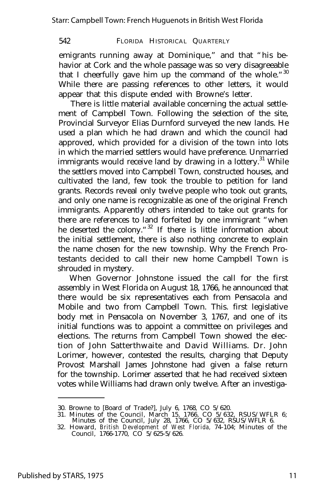emigrants running away at Dominique," and that "his behavior at Cork and the whole passage was so very disagreeable that I cheerfully gave him up the command of the whole."<sup>30</sup> While there are passing references to other letters, it would appear that this dispute ended with Browne's letter.

There is little material available concerning the actual settlement of Campbell Town. Following the selection of the site, Provincial Surveyor Elias Durnford surveyed the new lands. He used a plan which he had drawn and which the council had approved, which provided for a division of the town into lots in which the married settlers would have preference. Unmarried immigrants would receive land by drawing in a lottery.<sup>31</sup> While the settlers moved into Campbell Town, constructed houses, and cultivated the land, few took the trouble to petition for land grants. Records reveal only twelve people who took out grants, and only one name is recognizable as one of the original French immigrants. Apparently others intended to take out grants for there are references to land forfeited by one immigrant "when he deserted the colony.<sup>432</sup> If there is little information about the initial settlement, there is also nothing concrete to explain the name chosen for the new township. Why the French Protestants decided to call their new home Campbell Town is shrouded in mystery.

When Governor Johnstone issued the call for the first assembly in West Florida on August 18, 1766, he announced that there would be six representatives each from Pensacola and Mobile and two from Campbell Town. This. first legislative body met in Pensacola on November 3, 1767, and one of its initial functions was to appoint a committee on privileges and elections. The returns from Campbell Town showed the election of John Satterthwaite and David Williams. Dr. John Lorimer, however, contested the results, charging that Deputy Provost Marshall James Johnstone had given a false return for the township. Lorimer asserted that he had received sixteen votes while Williams had drawn only twelve. After an investiga-

<sup>30.</sup> Browne to [Board of Trade?], July 6, 1768, CO 5/620.

<sup>31.</sup> Minutes of the Council, March 15, 1766, CO 5/632, RSUS/WFLR 6; Minutes of the Council, July 28, 1766, CO 5/632, RSUS/WFLR 6.

<sup>32.</sup> Howard, *British Development of West Florida,* 74-104; Minutes of the Council, 1766-1770, CO 5/625-5/626.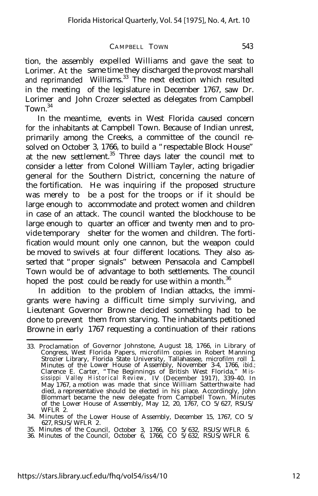tion, the assem bly expelled Williams and gave the seat to Lorimer. At the same time they discharged the provost marshall and reprimanded Williams.<sup>33</sup> The next election which resulted in the meeting of the legislature in December 1767, saw Dr. Lorimer and Jo hn Crozer selected as delegates from Campbell Town. $34$ 

In the mean time, events in West Florida caused concern for the inhabitants at Campbell Town. Because of Indian unrest, primarily amon g the Creeks, a committee of the council resolved on Octob er 3, 1766, to build a "respectable Block House" at the new settlement.<sup>35</sup> Three days later the council met to consider a letter from Colonel William Tayler, acting brigadier general for the Southern District, concerning the nature of the fortification. He was inquiring if the proposed structure was merely to be a post for the troops or if it should be large enough to accommodate and protect women and children in case of an at tack. The council wanted the blockhouse to be large enough to quarter an officer and twenty men and to provide temporary shelter for the women and children. The fortification would m ount only one cannon, but the weapon could be moved to sw ivels at four different locations. They also asserted that "pro per signals" between Pensacola and Campbell Town would be of advantage to both settlements. The council hoped the post could be ready for use within a month.<sup>36</sup>

In addition to the problem of Indian attacks, the immigrants were ha ving a difficult time simply surviving, and Lieutenant Gov ernor Browne decided something had to be done to prevent them from starving. The inhabitants petitioned Browne in early 1767 requesting a continuation of their rations

<sup>33.</sup> Proclamation of Governor Johnstone, August 18, 1766, in Library of Congress, Wes Strozier Librar Minutes of th Clarence E. C *sissippi Valley* May 1767, a m died, a represe Blommart bec of the Lower WFLR 2. of Governor Johnstone, August 18, 1766, in Library of t Florida Papers, microfilm copies in Robert Manning y, Florida State University, Tallahassee, microfilm roll 1. e Lower House of Assembly, November 3-4, 1766, *ibid.;* arter, "The Beginnings of British West Florida," *Mis-Historical Review,* IV (December 1917), 339-40. In otion was made that since William Satterthwaite had ntative should be elected in his place. Accordingly, John ame the new delegate from Campbell Town. Minutes House of Assembly, May 12, 20, 1767, CO 5/627, RSUS/

<sup>34.</sup> Minutes of th 627, RSUS/WF e Lower House of Assembly, December 15, 1767, CO 5/ LR 2.

<sup>35.</sup> Minutes of the 36. Minutes of the Council, October 3, 1766, CO 5/632, RSUS/WFLR 6. Council, October 6, 1766, CO 5/632, RSUS/WFLR 6.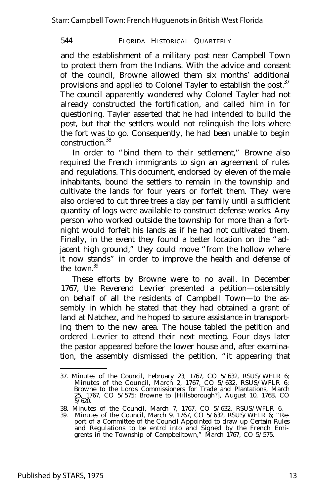and the establishment of a military post near Campbell Town to protect them from the Indians. With the advice and consent of the council, Browne allowed them six months' additional provisions and applied to Colonel Tayler to establish the post.<sup>37</sup> The council apparently wondered why Colonel Tayler had not already constructed the fortification, and called him in for questioning. Tayler asserted that he had intended to build the post, but that the settlers would not relinquish the lots where the fort was to go. Consequently, he had been unable to begin construction.<sup>38</sup>

In order to "bind them to their settlement," Browne also required the French immigrants to sign an agreement of rules and regulations. This document, endorsed by eleven of the male inhabitants, bound the settlers to remain in the township and cultivate the lands for four years or forfeit them. They were also ordered to cut three trees a day per family until a sufficient quantity of logs were available to construct defense works. Any person who worked outside the township for more than a fortnight would forfeit his lands as if he had not cultivated them. Finally, in the event they found a better location on the "adjacent high ground," they could move "from the hollow where it now stands" in order to improve the health and defense of the town.<sup>39</sup>

These efforts by Browne were to no avail. In December 1767, the Reverend Levrier presented a petition— ostensibly on behalf of all the residents of Campbell Town— to the assembly in which he stated that they had obtained a grant of land at Natchez, and he hoped to secure assistance in transporting them to the new area. The house tabled the petition and ordered Levrier to attend their next meeting. Four days later the pastor appeared before the lower house and, after examination, the assembly dismissed the petition, "it appearing that

<sup>37.</sup> Minutes of the Council, February 23, 1767, CO 5/632, RSUS/WFLR 6; Minutes of the Council, March 2, 1767, CO 5/632, RSUS/WFLR 6; Browne to the Lords Commissioners for Trade and Plantations, March 25, 1767, CO 5/575; Browne to [Hillsborough?], August 10, 1768, CO 5/620.

<sup>38.</sup> Minutes of the Council, March 7, 1767, CO 5/632, RSUS/WFLR 6.

<sup>39.</sup> Minutes of the Council, March 9, 1767, CO 5/632, RSUS/WFLR 6; "Report of a Committee of the Council Appointed to draw up Certain Rules and Regulations to be entrd into and Signed by the French Emigrents in the Township of Campbelltown," March 1767, CO 5/575.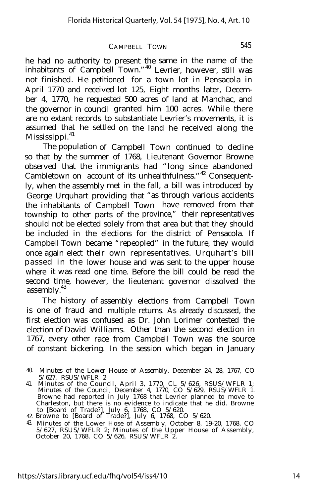he had no authority to present the same in the name of the inhabitants of Campbell Town."<sup>40</sup> Levrier, however, still was not finished. He petitioned for a town lot in Pensacola in April 1770 and received lot 125, Eight months later, December 4, 1770, he requested 500 acres of land at Manchac, and the governor in council granted him 100 acres. While there are no extant records to substantiate Levrier's movements, it is assumed that he settled on the land he received along the Mississippi.<sup>41</sup>

The population of Campbell Town continued to decline so that by the summer of 1768, Lieutenant Governor Browne observed that the immigrants had "long since abandoned Cambletown on account of its unhealthfulness. "<sup>42</sup> Consequently, when the assembly met in the fall, a bill was introduced by George Urquhart providing that "as through various accidents the inhabitants of Campbell Town have removed from that township to other parts of the province," their representatives should not be elected solely from that area but that they should be included in the elections for the district of Pensacola. If Campbell Town became "repeopled" in the future, they would once again elect their own representatives. Urquhart's bill passed in the lower house and was sent to the upper house where it was read one time. Before the bill could be read the second time, however, the lieutenant governor dissolved the assembly.<sup>43</sup>

The history of assembly elections from Campbell Town is one of fraud and multiple returns. As already discussed, the first election was confused as Dr. John Lorimer contested the election of David Williams. Other than the second election in 1767, every other race from Campbell Town was the source of constant bickering. In the session which began in January

<sup>40.</sup> Minutes of the Lower House of Assembly, December 24, 28, 1767, CO 5/627, RSUS/WFLR 2.

<sup>41.</sup> Minutes of the Council, April 3, 1770, CL 5/626, RSUS/WFLR 1; Minutes of the Council, December 4, 1770, CO 5/629, RSUS/WFLR 1. Browne had reported in July 1768 that Levrier planned to move to Charleston, but there is no evidence to indicate that he did. Browne to [Board of Trade?], July 6, 1768, CO 5/620. 42. Browne to [Board of Trade?], July 6, 1768, CO 5/620.

<sup>43.</sup> Minutes of the Lower Hose of Assembly, October 8, 19-20, 1768, CO 5/627, RSUS/WFLR 2; Minutes of the Upper House of Assembly, October 20, 1768, CO 5/626, RSUS/WFLR 2.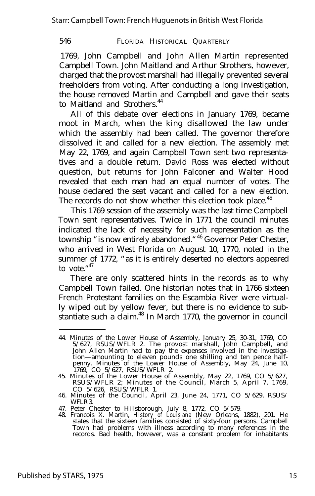1769, John Campbell and John Allen Martin represented Campbell Town. John Maitland and Arthur Strothers, however, charged that the provost marshall had illegally prevented several freeholders from voting. After conducting a long investigation, the house removed Martin and Campbell and gave their seats to Maitland and Strothers.<sup>44</sup>

All of this debate over elections in January 1769, became moot in March, when the king disallowed the law under which the assembly had been called. The governor therefore dissolved it and called for a new election. The assembly met May 22, 1769, and again Campbell Town sent two representatives and a double return. David Ross was elected without question, but returns for John Falconer and Walter Hood revealed that each man had an equal number of votes. The house declared the seat vacant and called for a new election. The records do not show whether this election took place.<sup>45</sup>

This 1769 session of the assembly was the last time Campbell Town sent representatives. Twice in 1771 the council minutes indicated the lack of necessity for such representation as the township "is now entirely abandoned."<sup>46</sup> Governor Peter Chester, who arrived in West Florida on August 10, 1770, noted in the summer of 1772, "as it is entirely deserted no electors appeared to vote."<sup>47</sup>

There are only scattered hints in the records as to why Campbell Town failed. One historian notes that in 1766 sixteen French Protestant families on the Escambia River were virtually wiped out by yellow fever, but there is no evidence to substantiate such a claim.<sup>48</sup> In March 1770, the governor in council

<sup>44.</sup> Minutes of the Lower House of Assembly, January 25, 30-31, 1769, CO 5/627, RSUS/WFLR 2. The provost marshall, John Campbell, and John Allen Martin had to pay the expenses involved in the investigation— amounting to eleven pounds one shilling and ten pence half-penny. Minutes of the Lower House of Assembly, May 24, June 10,

<sup>1769,</sup> CO 5/627, RSUS/WFLR 2. 45. Minutes of the Lower House of Assembly, May 22, 1769, CO 5/627, RSUS/WFLR 2; Minutes of the Council, March 5, April 7, 1769, CO 5/626, RSUS/WFLR 1. 46. Minutes of the Council, April 23, June 24, 1771, CO 5/629, RSUS/

WFLR 3.

<sup>47.</sup> Peter Chester to Hillsborough, July 8, 1772, CO 5/579.<br>48. Francois X. Martin, *History of Louisiana* (New Orleans, 1882), 201. He<br>states that the sixteen families consisted of sixty-four persons. Campbell<br>Town had pro records. Bad health, however, was a constant problem for inhabitants